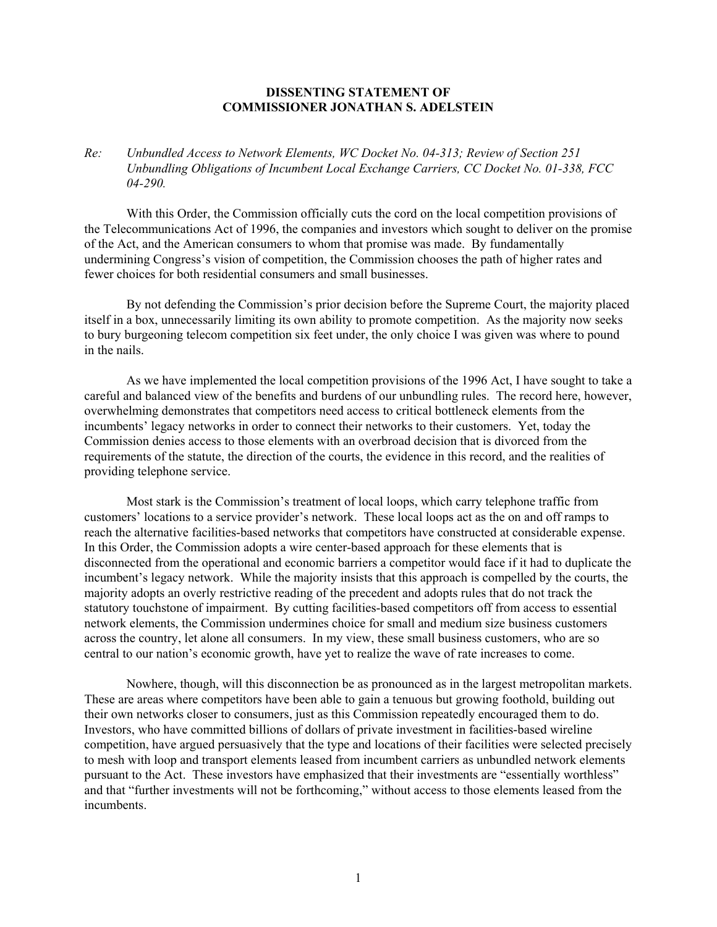## **DISSENTING STATEMENT OF COMMISSIONER JONATHAN S. ADELSTEIN**

*Re: Unbundled Access to Network Elements, WC Docket No. 04-313; Review of Section 251 Unbundling Obligations of Incumbent Local Exchange Carriers, CC Docket No. 01-338, FCC 04-290.* 

With this Order, the Commission officially cuts the cord on the local competition provisions of the Telecommunications Act of 1996, the companies and investors which sought to deliver on the promise of the Act, and the American consumers to whom that promise was made. By fundamentally undermining Congress's vision of competition, the Commission chooses the path of higher rates and fewer choices for both residential consumers and small businesses.

By not defending the Commission's prior decision before the Supreme Court, the majority placed itself in a box, unnecessarily limiting its own ability to promote competition. As the majority now seeks to bury burgeoning telecom competition six feet under, the only choice I was given was where to pound in the nails.

As we have implemented the local competition provisions of the 1996 Act, I have sought to take a careful and balanced view of the benefits and burdens of our unbundling rules. The record here, however, overwhelming demonstrates that competitors need access to critical bottleneck elements from the incumbents' legacy networks in order to connect their networks to their customers. Yet, today the Commission denies access to those elements with an overbroad decision that is divorced from the requirements of the statute, the direction of the courts, the evidence in this record, and the realities of providing telephone service.

Most stark is the Commission's treatment of local loops, which carry telephone traffic from customers' locations to a service provider's network. These local loops act as the on and off ramps to reach the alternative facilities-based networks that competitors have constructed at considerable expense. In this Order, the Commission adopts a wire center-based approach for these elements that is disconnected from the operational and economic barriers a competitor would face if it had to duplicate the incumbent's legacy network. While the majority insists that this approach is compelled by the courts, the majority adopts an overly restrictive reading of the precedent and adopts rules that do not track the statutory touchstone of impairment. By cutting facilities-based competitors off from access to essential network elements, the Commission undermines choice for small and medium size business customers across the country, let alone all consumers. In my view, these small business customers, who are so central to our nation's economic growth, have yet to realize the wave of rate increases to come.

Nowhere, though, will this disconnection be as pronounced as in the largest metropolitan markets. These are areas where competitors have been able to gain a tenuous but growing foothold, building out their own networks closer to consumers, just as this Commission repeatedly encouraged them to do. Investors, who have committed billions of dollars of private investment in facilities-based wireline competition, have argued persuasively that the type and locations of their facilities were selected precisely to mesh with loop and transport elements leased from incumbent carriers as unbundled network elements pursuant to the Act. These investors have emphasized that their investments are "essentially worthless" and that "further investments will not be forthcoming," without access to those elements leased from the incumbents.